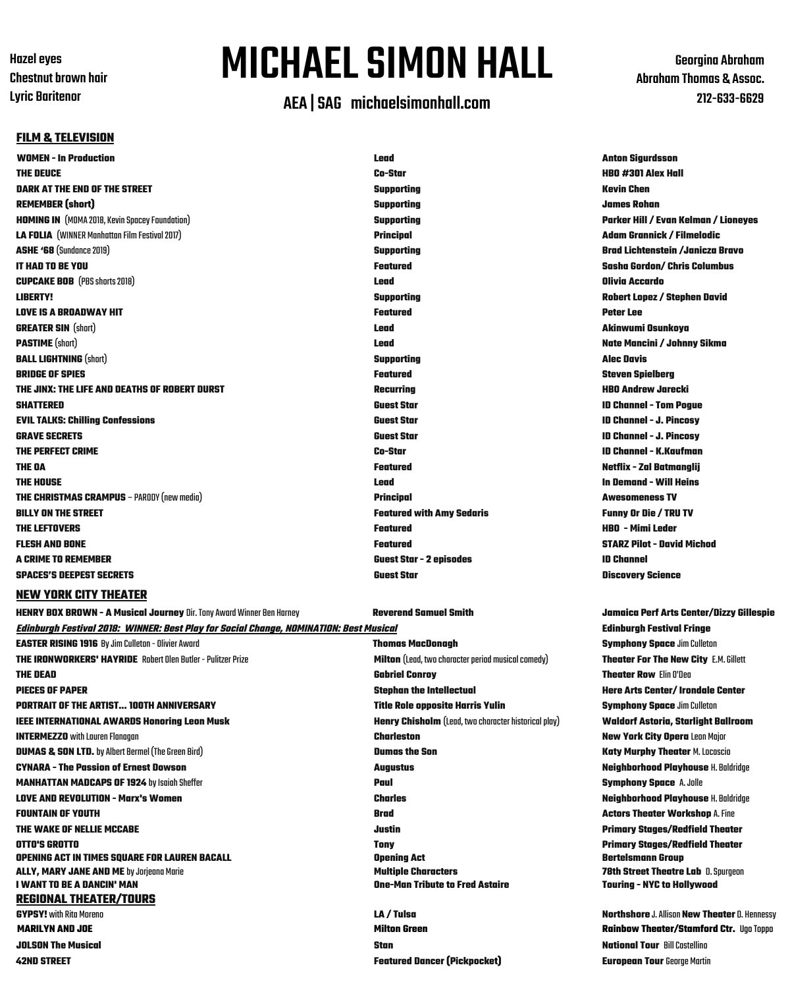**Hazel** eves **Chestnut brown hair** Lyric Baritenor

# MICHAELSIMON HALL

## AEA |SAG michaelsimonhall.com

Georgina Abraham Abraham Thomas & Assoc. 212-633-6629

### **FILM & TELEVISION**

**WOMEN - In Production Lead Anton Sigurdsson THE DEUCE Co-Star HBO #301 Alex Hall DARK AT THE END OF THE STREET Supporting Kevin Chen REMEMBER (short) Supporting James Rohan HOMING IN** (MOMA2018,KevinSpaceyFoundation) **Supporting Parker Hill / Evan Kelman / Lioneyes LA FOLIA** (WINNER ManhattanFilm Festival2017) **Principal Adam Grannick / Filmelodic ASHE '68** (Sundance2019) **Supporting Brad Lichtenstein /Janicza Bravo IT HAD TO BE YOU Featured Sasha Gordon/ Chris Columbus CUPCAKE BOB** (PBSshorts2018) **Lead Olivia Accardo LIBERTY! Supporting Robert Lopez / Stephen David LOVE IS A BROADWAY HIT Featured Peter Lee GREATER SIN** (short) **Lead Akinwumi Osunkoya PASTIME** (short) **Lead Nate Mancini / Johnny Sikma BALL LIGHTNING** (short) **Supporting Alec Davis BRIDGE OF SPIES Featured Steven Spielberg THE JINX: THE LIFE AND DEATHS OF ROBERT DURST Recurring HBO Andrew Jarecki SHATTERED Guest Star ID Channel - Tom Pogue EVIL TALKS: Chilling Confessions Guest Star ID Channel - J. Pincosy GRAVE SECRETS Guest Star ID Channel - J. Pincosy THE PERFECT CRIME Co-Star ID Channel - K.Kaufman THE OA Featured Netflix - Zal Batmanglij THE HOUSE Lead In Demand - Will Heins THE CHRISTMAS CRAMPUS** – PARODY(new media) **Principal Awesomeness TV BILLY ON THE STREET Featured with Amy Sedaris Funny Or Die / TRU TV THE LEFTOVERS Featured HBO - Mimi Leder FLESH AND BONE Featured STARZ Pilot - David Michod A CRIME TO REMEMBER Guest Star - 2 episodes ID Channel SPACES'S DEEPEST SECRETS Guest Star Discovery Science**

### **NEW YORK CITY THEATER**

**Edinburgh Festival 2018: WINNER: Best Play for Social Change, NOMINATION: Best Musical Edinburgh Festival Fringe EASTER RISING 1916** ByJim Culleton-OlivierAward **Thomas MacDonagh Symphony Space** Jim Culleton **THE IRONWORKERS' HAYRIDE** RobertOlen Butler-PulitzerPrize **Milton** (Lead, twocharacterperiod musicalcomedy) **Theater For The New City** E.M.Gillett **THE DEAD Gabriel Conroy Theater Row** ElinO'Dea **PIECES OF PAPER Stephan the Intellectual Here Arts Center/ Irondale Center PORTRAIT OF THE ARTIST... 100TH ANNIVERSARY Title Role opposite Harris Yulin Symphony Space** Jim Culleton **IEEE INTERNATIONAL AWARDS Honoring Leon Musk Henry Chisholm** (Lead, twocharacterhistoricalplay) **Waldorf Astoria, Starlight Ballroom INTERMEZZO** withLaurenFlanagan **Charleston New York City Opera** Leon Major **DUMAS & SON LTD.** byAlbert Bermel (TheGreen Bird) **Dumas the Son Katy Murphy Theater** M.Locascio **CYNARA - The Passion of Ernest Dowson Augustus Neighborhood Playhouse** H. Baldridge **MANHATTAN MADCAPS OF 1924** by Isaiah Sheffer **Paul Symphony Space** A.Jolle **LOVE AND REVOLUTION - Marx's Women Charles Neighborhood Playhouse** H. Baldridge **FOUNTAIN OF YOUTH Brad Actors Theater Workshop** A.Fine **THE WAKE OF NELLIE MCCABE Justin Primary Stages/Redfield Theater OTTO'S GROTTO Tony Primary Stages/Redfield Theater OPENING ACT IN TIMES SQUARE FOR LAUREN BACALL Opening Act Bertelsmann Group ALLY, MARY JANE AND ME** byJorjeana Marie **Multiple Characters 78th Street Theatre Lab** D.Spurgeon **I WANT TO BE A DANCIN' MAN REGIONAL THEATER/TOURS MARILYN AND JOE Milton Green Rainbow Theater/Stamford Ctr.** UgoToppo **JOLSON The Musical Stan National Tour** BillCastellino

**42ND STREET Featured Dancer (Pickpocket) European Tour** George Martin

# HENRY BOX BROWN - A Musical Journey Dir. Tony Award Winner Ben Harney November 2016 Reverend Samuel Smith Samur Jammar Jamaica Perf Arts Center/Dizzy Gillespie

**CA** / **Tulsa CYPS /** *More***no** *LA* **Northshore** J. Allison **New Theater** D. Hennessy